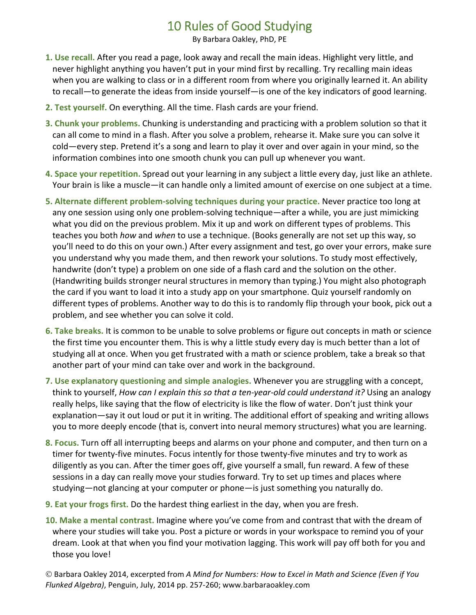## 10 Rules of Good Studying

By Barbara Oakley, PhD, PE

- **1. Use recall.** After you read a page, look away and recall the main ideas. Highlight very little, and never highlight anything you haven't put in your mind first by recalling. Try recalling main ideas when you are walking to class or in a different room from where you originally learned it. An ability to recall—to generate the ideas from inside yourself—is one of the key indicators of good learning.
- **2. Test yourself.** On everything. All the time. Flash cards are your friend.
- **3. Chunk your problems.** Chunking is understanding and practicing with a problem solution so that it can all come to mind in a flash. After you solve a problem, rehearse it. Make sure you can solve it cold—every step. Pretend it's a song and learn to play it over and over again in your mind, so the information combines into one smooth chunk you can pull up whenever you want.
- **4. Space your repetition.** Spread out your learning in any subject a little every day, just like an athlete. Your brain is like a muscle—it can handle only a limited amount of exercise on one subject at a time.
- **5. Alternate different problem‐solving techniques during your practice.** Never practice too long at any one session using only one problem-solving technique—after a while, you are just mimicking what you did on the previous problem. Mix it up and work on different types of problems. This teaches you both *how* and *when* to use a technique. (Books generally are not set up this way, so you'll need to do this on your own.) After every assignment and test, go over your errors, make sure you understand why you made them, and then rework your solutions. To study most effectively, handwrite (don't type) a problem on one side of a flash card and the solution on the other. (Handwriting builds stronger neural structures in memory than typing.) You might also photograph the card if you want to load it into a study app on your smartphone. Quiz yourself randomly on different types of problems. Another way to do this is to randomly flip through your book, pick out a problem, and see whether you can solve it cold.
- **6. Take breaks.** It is common to be unable to solve problems or figure out concepts in math or science the first time you encounter them. This is why a little study every day is much better than a lot of studying all at once. When you get frustrated with a math or science problem, take a break so that another part of your mind can take over and work in the background.
- **7. Use explanatory questioning and simple analogies.** Whenever you are struggling with a concept, think to yourself, *How can I explain this so that a ten‐year‐old could understand it?* Using an analogy really helps, like saying that the flow of electricity is like the flow of water. Don't just think your explanation—say it out loud or put it in writing. The additional effort of speaking and writing allows you to more deeply encode (that is, convert into neural memory structures) what you are learning.
- **8. Focus.** Turn off all interrupting beeps and alarms on your phone and computer, and then turn on a timer for twenty‐five minutes. Focus intently for those twenty‐five minutes and try to work as diligently as you can. After the timer goes off, give yourself a small, fun reward. A few of these sessions in a day can really move your studies forward. Try to set up times and places where studying—not glancing at your computer or phone—is just something you naturally do.
- **9. Eat your frogs first.** Do the hardest thing earliest in the day, when you are fresh.
- **10. Make a mental contrast.** Imagine where you've come from and contrast that with the dream of where your studies will take you. Post a picture or words in your workspace to remind you of your dream. Look at that when you find your motivation lagging. This work will pay off both for you and those you love!

 Barbara Oakley 2014, excerpted from *A Mind for Numbers: How to Excel in Math and Science (Even if You Flunked Algebra)*, Penguin, July, 2014 pp. 257‐260; www.barbaraoakley.com